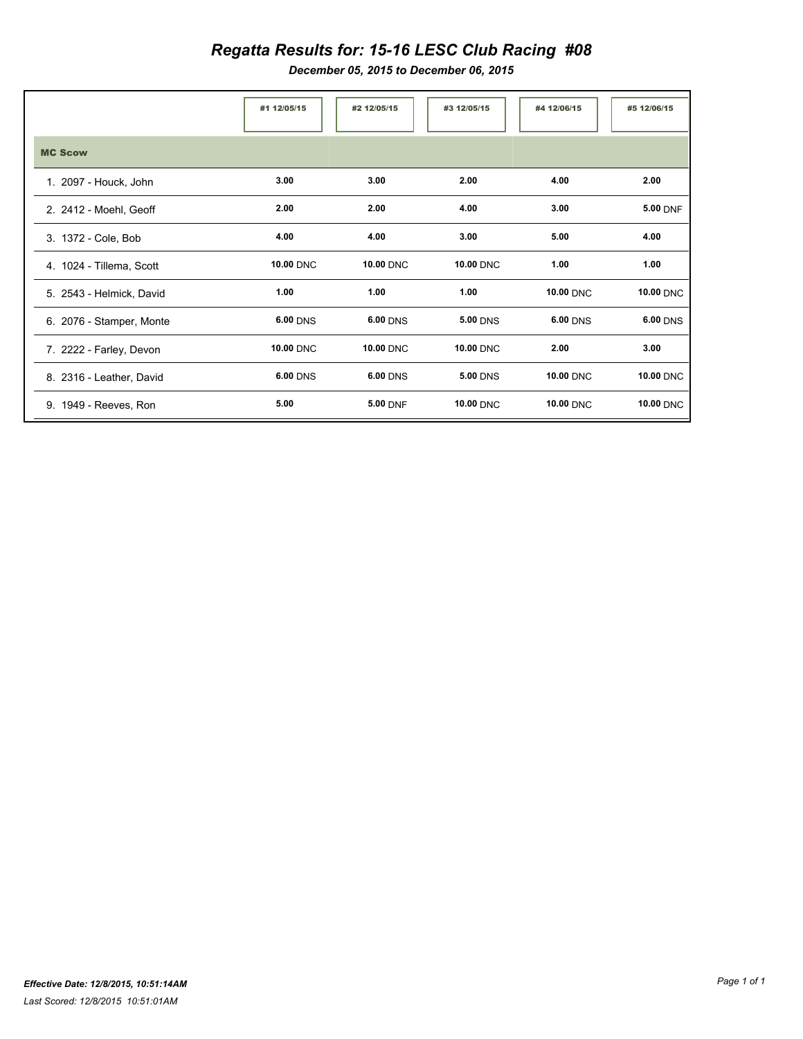## *Regatta Results for: 15-16 LESC Club Racing #08*

*December 05, 2015 to December 06, 2015*

|                          | #1 12/05/15      | #2 12/05/15      | #3 12/05/15      | #4 12/06/15      | #5 12/06/15      |
|--------------------------|------------------|------------------|------------------|------------------|------------------|
| <b>MC Scow</b>           |                  |                  |                  |                  |                  |
| 1. 2097 - Houck, John    | 3.00             | 3.00             | 2.00             | 4.00             | 2.00             |
| 2. 2412 - Moehl, Geoff   | 2.00             | 2.00             | 4.00             | 3.00             | 5.00 DNF         |
| 3. 1372 - Cole, Bob      | 4.00             | 4.00             | 3.00             | 5.00             | 4.00             |
| 4. 1024 - Tillema, Scott | <b>10.00 DNC</b> | <b>10.00 DNC</b> | <b>10.00 DNC</b> | 1.00             | 1.00             |
| 5. 2543 - Helmick, David | 1.00             | 1.00             | 1.00             | <b>10.00 DNC</b> | <b>10.00 DNC</b> |
| 6. 2076 - Stamper, Monte | 6.00 DNS         | 6.00 DNS         | 5.00 DNS         | 6.00 DNS         | 6.00 DNS         |
| 7. 2222 - Farley, Devon  | <b>10.00 DNC</b> | <b>10.00 DNC</b> | <b>10.00 DNC</b> | 2.00             | 3.00             |
| 8. 2316 - Leather, David | 6.00 DNS         | 6.00 DNS         | 5.00 DNS         | <b>10.00 DNC</b> | <b>10.00 DNC</b> |
| 9. 1949 - Reeves, Ron    | 5.00             | 5.00 DNF         | <b>10.00 DNC</b> | <b>10.00 DNC</b> | <b>10.00 DNC</b> |